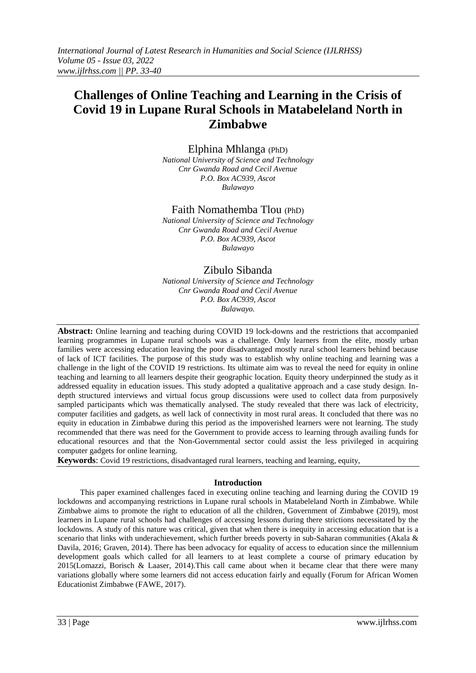# **Challenges of Online Teaching and Learning in the Crisis of Covid 19 in Lupane Rural Schools in Matabeleland North in Zimbabwe**

Elphina Mhlanga (PhD)

*National University of Science and Technology Cnr Gwanda Road and Cecil Avenue P.O. Box AC939, Ascot Bulawayo*

## Faith Nomathemba Tlou (PhD)

*National University of Science and Technology Cnr Gwanda Road and Cecil Avenue P.O. Box AC939, Ascot Bulawayo*

# Zibulo Sibanda

*National University of Science and Technology Cnr Gwanda Road and Cecil Avenue P.O. Box AC939, Ascot Bulawayo.*

**Abstract:** Online learning and teaching during COVID 19 lock-downs and the restrictions that accompanied learning programmes in Lupane rural schools was a challenge. Only learners from the elite, mostly urban families were accessing education leaving the poor disadvantaged mostly rural school learners behind because of lack of ICT facilities. The purpose of this study was to establish why online teaching and learning was a challenge in the light of the COVID 19 restrictions. Its ultimate aim was to reveal the need for equity in online teaching and learning to all learners despite their geographic location. Equity theory underpinned the study as it addressed equality in education issues. This study adopted a qualitative approach and a case study design. Indepth structured interviews and virtual focus group discussions were used to collect data from purposively sampled participants which was thematically analysed. The study revealed that there was lack of electricity, computer facilities and gadgets, as well lack of connectivity in most rural areas. It concluded that there was no equity in education in Zimbabwe during this period as the impoverished learners were not learning. The study recommended that there was need for the Government to provide access to learning through availing funds for educational resources and that the Non-Governmental sector could assist the less privileged in acquiring computer gadgets for online learning.

**Keywords**: Covid 19 restrictions, disadvantaged rural learners, teaching and learning, equity,

### **Introduction**

This paper examined challenges faced in executing online teaching and learning during the COVID 19 lockdowns and accompanying restrictions in Lupane rural schools in Matabeleland North in Zimbabwe. While Zimbabwe aims to promote the right to education of all the children, Government of Zimbabwe (2019), most learners in Lupane rural schools had challenges of accessing lessons during there strictions necessitated by the lockdowns. A study of this nature was critical, given that when there is inequity in accessing education that is a scenario that links with underachievement, which further breeds poverty in sub-Saharan communities (Akala & Davila, 2016; Graven, 2014). There has been advocacy for equality of access to education since the millennium development goals which called for all learners to at least complete a course of primary education by 2015(Lomazzi, Borisch & Laaser, 2014).This call came about when it became clear that there were many variations globally where some learners did not access education fairly and equally (Forum for African Women Educationist Zimbabwe (FAWE, 2017).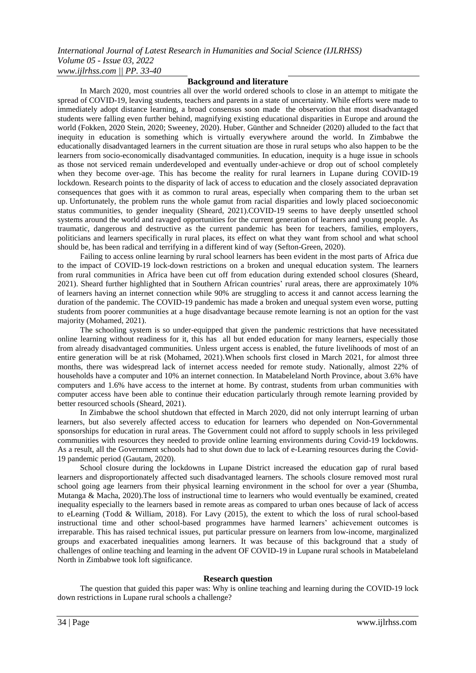### **Background and literature**

In March 2020, most countries all over the world ordered schools to close in an attempt to mitigate the spread of COVID-19, leaving students, teachers and parents in a state of uncertainty. While efforts were made to immediately adopt distance learning, a broad consensus soon made the observation that most disadvantaged students were falling even further behind, magnifying existing educational disparities in Europe and around the world (Fokken, 2020 Stein, 2020; Sweeney, 2020). Huber, Günther and Schneider (2020) alluded to the fact that inequity in education is something which is virtually everywhere around the world. In Zimbabwe the educationally disadvantaged learners in the current situation are those in rural setups who also happen to be the learners from socio-economically disadvantaged communities. In education, inequity is a huge issue in schools as those not serviced remain underdeveloped and eventually under-achieve or drop out of school completely when they become over-age. This has become the reality for rural learners in Lupane during COVID-19 lockdown. Research points to the disparity of lack of access to education and the closely associated depravation consequences that goes with it as common to rural areas, especially when comparing them to the urban set up. Unfortunately, the problem runs the whole gamut from racial disparities and lowly placed socioeconomic status communities, to gender inequality (Sheard, 2021).COVID-19 seems to have deeply unsettled school systems around the world and ravaged opportunities for the current generation of learners and young people. As traumatic, dangerous and destructive as the current pandemic has been for teachers, families, employers, politicians and learners specifically in rural places, its effect on what they want from school and what school should be, has been radical and terrifying in a different kind of way (Sefton-Green, 2020).

Failing to access online learning by rural school learners has been evident in the most parts of Africa due to the impact of COVID-19 lock-down restrictions on a broken and unequal education system. The learners from rural communities in Africa have been cut off from education during extended school closures (Sheard, 2021). Sheard further highlighted that in Southern African countries' rural areas, there are approximately 10% of learners having an internet connection while 90% are struggling to access it and cannot access learning the duration of the pandemic. The COVID-19 pandemic has made a broken and unequal system even worse, putting students from poorer communities at a huge disadvantage because remote learning is not an option for the vast majority (Mohamed, 2021).

The schooling system is so under-equipped that given the pandemic restrictions that have necessitated online learning without readiness for it, this has all but ended education for many learners, especially those from already disadvantaged communities. Unless urgent access is enabled, the future livelihoods of most of an entire generation will be at risk (Mohamed, 2021).When schools first closed in March 2021, for almost three months, there was widespread lack of internet access needed for remote study. Nationally, almost 22% of households have a computer and 10% an internet connection. In Matabeleland North Province, about 3.6% have computers and 1.6% have access to the internet at home. By contrast, students from urban communities with computer access have been able to continue their education particularly through remote learning provided by better resourced schools (Sheard, 2021).

In Zimbabwe the school shutdown that effected in March 2020, did not only interrupt learning of urban learners, but also severely affected access to education for learners who depended on Non-Governmental sponsorships for education in rural areas. The Government could not afford to supply schools in less privileged communities with resources they needed to provide online learning environments during Covid-19 lockdowns. As a result, all the Government schools had to shut down due to lack of e-Learning resources during the Covid-19 pandemic period (Gautam, 2020).

School closure during the lockdowns in Lupane District increased the education gap of rural based learners and disproportionately affected such disadvantaged learners. The schools closure removed most rural school going age learners from their physical learning environment in the school for over a year (Shumba, Mutanga & Macha, 2020).The loss of instructional time to learners who would eventually be examined, created inequality especially to the learners based in remote areas as compared to urban ones because of lack of access to eLearning (Todd & William, 2018). For Lavy (2015), the extent to which the loss of rural school-based instructional time and other school-based programmes have harmed learners' achievement outcomes is irreparable. This has raised technical issues, put particular pressure on learners from low-income, marginalized groups and exacerbated inequalities among learners. It was because of this background that a study of challenges of online teaching and learning in the advent OF COVID-19 in Lupane rural schools in Matabeleland North in Zimbabwe took loft significance.

#### **Research question**

The question that guided this paper was: Why is online teaching and learning during the COVID-19 lock down restrictions in Lupane rural schools a challenge?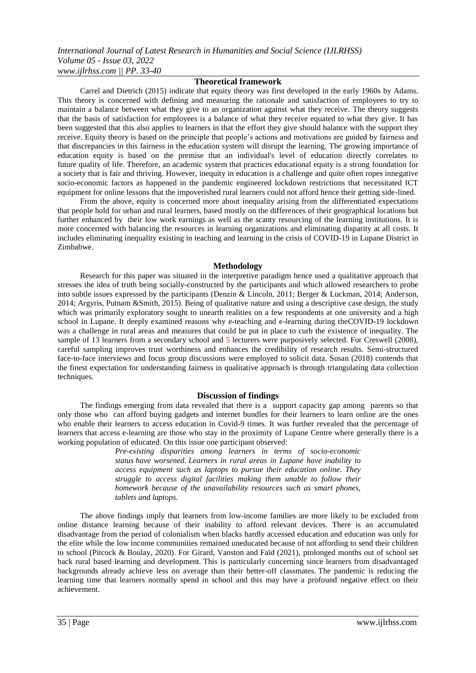*International Journal of Latest Research in Humanities and Social Science (IJLRHSS) Volume 05 - Issue 03, 2022 www.ijlrhss.com || PP. 33-40*

### **Theoretical framework**

Carrel and Dietrich (2015) indicate that equity theory was first developed in the early 1960s by Adams. This theory is concerned with defining and measuring the rationale and satisfaction of employees to try to maintain a balance between what they give to an organization against what they receive. The theory suggests that the basis of satisfaction for employees is a balance of what they receive equated to what they give. It has been suggested that this also applies to learners in that the effort they give should balance with the support they receive. Equity theory is based on the principle that people's actions and motivations are guided by fairness and that discrepancies in this fairness in the education system will disrupt the learning. The growing importance of education equity is based on the premise that an individual's level of education directly correlates to future quality of life. Therefore, an academic system that practices educational equity is a strong foundation for a society that is fair and thriving. However, inequity in education is a challenge and quite often ropes innegative socio-economic factors as happened in the pandemic engineered lockdown restrictions that necessitated ICT equipment for online lessons that the impoverished rural learners could not afford hence their getting side-lined.

From the above, equity is concerned more about inequality arising from the differentiated expectations that people hold for urban and rural learners, based mostly on the differences of their geographical locations but further enhanced by their low work earnings as well as the scanty resourcing of the learning institutions. It is more concerned with balancing the resources in learning organizations and eliminating disparity at all costs. It includes eliminating inequality existing in teaching and learning in the crisis of COVID-19 in Lupane District in Zimbabwe.

### **Methodology**

Research for this paper was situated in the interpretive paradigm hence used a qualitative approach that stresses the idea of truth being socially-constructed by the participants and which allowed researchers to probe into subtle issues expressed by the participants (Denzin & Lincoln, 2011; Berger & Luckman, 2014; Anderson, 2014; Argyris, Putnam &Smith, 2015). Being of qualitative nature and using a descriptive case design, the study which was primarily exploratory sought to unearth realities on a few respondents at one university and a high school in Lupane. It deeply examined reasons why e-teaching and e-learning during theCOVID-19 lockdown was a challenge in rural areas and measures that could be put in place to curb the existence of inequality. The sample of 13 learners from a secondary school and 5 lecturers were purposively selected. For Creswell (2008), careful sampling improves trust worthiness and enhances the credibility of research results. Semi-structured face-to-face interviews and focus group discussions were employed to solicit data. Susan (2018) contends that the finest expectation for understanding fairness in qualitative approach is through triangulating data collection techniques.

### **Discussion of findings**

The findings emerging from data revealed that there is a support capacity gap among parents so that only those who can afford buying gadgets and internet bundles for their learners to learn online are the ones who enable their learners to access education in Covid-9 times. It was further revealed that the percentage of learners that access e-learning are those who stay in the proximity of Lupane Centre where generally there is a working population of educated. On this issue one participant observed:

> *Pre-existing disparities among learners in terms of socio-economic status have worsened. Learners in rural areas in Lupane have inability to access equipment such as laptops to pursue their education online. They struggle to access digital facilities making them unable to follow their homework because of the unavailability resources such as smart phones, tablets and laptops.*

The above findings imply that learners from low-income families are more likely to be excluded from online distance learning because of their inability to afford relevant devices. There is an accumulated disadvantage from the period of colonialism when blacks hardly accessed education and education was only for the elite while the low income communities remained uneducated because of not affording to send their children to school (Pitcock & Boulay, 2020). For Girard, Vanston and Faïd (2021), prolonged months out of school set back rural based learning and development. This is particularly concerning since learners from disadvantaged backgrounds already achieve less on average than their better-off classmates. The pandemic is reducing the learning time that learners normally spend in school and this may have a profound negative effect on their achievement.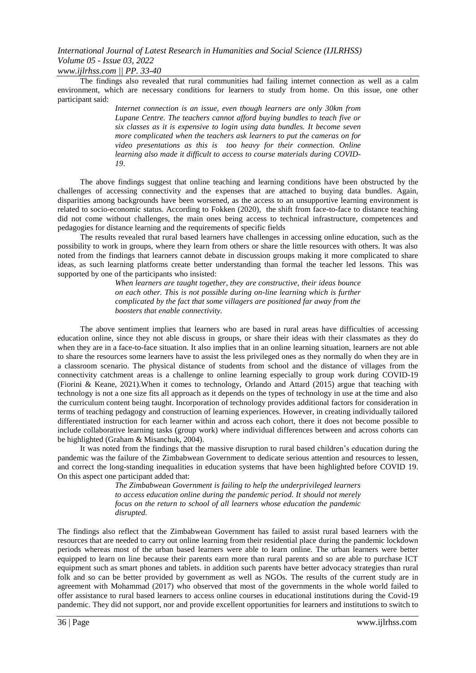*www.ijlrhss.com || PP. 33-40*

The findings also revealed that rural communities had failing internet connection as well as a calm environment, which are necessary conditions for learners to study from home. On this issue, one other participant said:

> *Internet connection is an issue, even though learners are only 30km from Lupane Centre. The teachers cannot afford buying bundles to teach five or six classes as it is expensive to login using data bundles. It become seven more complicated when the teachers ask learners to put the cameras on for video presentations as this is too heavy for their connection. Online learning also made it difficult to access to course materials during COVID-19*.

The above findings suggest that online teaching and learning conditions have been obstructed by the challenges of accessing connectivity and the expenses that are attached to buying data bundles. Again, disparities among backgrounds have been worsened, as the access to an unsupportive learning environment is related to socio-economic status. According to Fokken (2020), the shift from face-to-face to distance teaching did not come without challenges, the main ones being access to technical infrastructure, competences and pedagogies for distance learning and the requirements of specific fields

The results revealed that rural based learners have challenges in accessing online education, such as the possibility to work in groups, where they learn from others or share the little resources with others. It was also noted from the findings that learners cannot debate in discussion groups making it more complicated to share ideas, as such learning platforms create better understanding than formal the teacher led lessons. This was supported by one of the participants who insisted:

> *When learners are taught together, they are constructive, their ideas bounce on each other. This is not possible during on-line learning which is further complicated by the fact that some villagers are positioned far away from the boosters that enable connectivity.*

The above sentiment implies that learners who are based in rural areas have difficulties of accessing education online, since they not able discuss in groups, or share their ideas with their classmates as they do when they are in a face-to-face situation. It also implies that in an online learning situation, learners are not able to share the resources some learners have to assist the less privileged ones as they normally do when they are in a classroom scenario. The physical distance of students from school and the distance of villages from the connectivity catchment areas is a challenge to online learning especially to group work during COVID-19 (Fiorini & Keane, 2021).When it comes to technology, Orlando and Attard (2015) argue that teaching with technology is not a one size fits all approach as it depends on the types of technology in use at the time and also the curriculum content being taught. Incorporation of technology provides additional factors for consideration in terms of teaching pedagogy and construction of learning experiences. However, in creating individually tailored differentiated instruction for each learner within and across each cohort, there it does not become possible to include collaborative learning tasks (group work) where individual differences between and across cohorts can be highlighted (Graham & Misanchuk, 2004).

It was noted from the findings that the massive disruption to rural based children's education during the pandemic was the failure of the Zimbabwean Government to dedicate serious attention and resources to lessen, and correct the long-standing inequalities in education systems that have been highlighted before COVID 19. On this aspect one participant added that:

> *The Zimbabwean Government is failing to help the underprivileged learners to access education online during the pandemic period. It should not merely focus on the return to school of all learners whose education the pandemic disrupted.*

The findings also reflect that the Zimbabwean Government has failed to assist rural based learners with the resources that are needed to carry out online learning from their residential place during the pandemic lockdown periods whereas most of the urban based learners were able to learn online. The urban learners were better equipped to learn on line because their parents earn more than rural parents and so are able to purchase ICT equipment such as smart phones and tablets. in addition such parents have better advocacy strategies than rural folk and so can be better provided by government as well as NGOs. The results of the current study are in agreement with Mohammad (2017) who observed that most of the governments in the whole world failed to offer assistance to rural based learners to access online courses in educational institutions during the Covid-19 pandemic. They did not support, nor and provide excellent opportunities for learners and institutions to switch to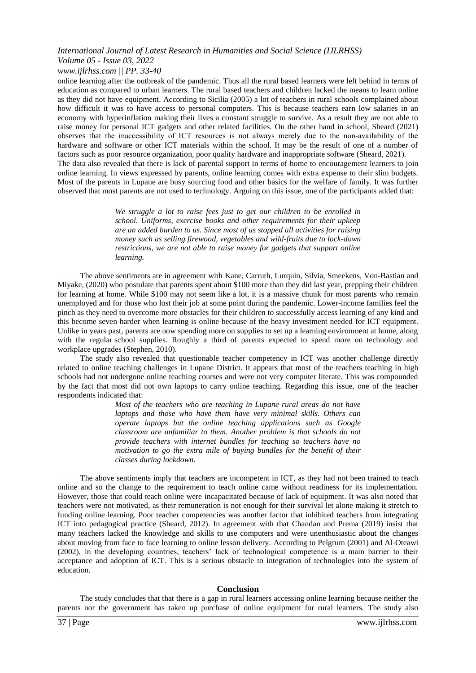### *www.ijlrhss.com || PP. 33-40*

online learning after the outbreak of the pandemic. Thus all the rural based learners were left behind in terms of education as compared to urban learners. The rural based teachers and children lacked the means to learn online as they did not have equipment. According to Sicilia (2005) a lot of teachers in rural schools complained about how difficult it was to have access to personal computers. This is because teachers earn low salaries in an economy with hyperinflation making their lives a constant struggle to survive. As a result they are not able to raise money for personal ICT gadgets and other related facilities. On the other hand in school, Sheard (2021) observes that the inaccessibility of ICT resources is not always merely due to the non‐availability of the hardware and software or other ICT materials within the school. It may be the result of one of a number of factors such as poor resource organization, poor quality hardware and inappropriate software (Sheard, 2021). The data also revealed that there is lack of parental support in terms of home to encouragement learners to join online learning. In views expressed by parents, online learning comes with extra expense to their slim budgets. Most of the parents in Lupane are busy sourcing food and other basics for the welfare of family. It was further observed that most parents are not used to technology. Arguing on this issue, one of the participants added that:

> *We struggle a lot to raise fees just to get our children to be enrolled in school. Uniforms, exercise books and other requirements for their upkeep are an added burden to us. Since most of us stopped all activities for raising money such as selling firewood, vegetables and wild-fruits due to lock-down restrictions, we are not able to raise money for gadgets that support online learning.*

The above sentiments are in agreement with Kane, Carruth, Lurquin, Silvia, Smeekens, Von-Bastian and Miyake, (2020) who postulate that parents spent about \$100 more than they did last year, prepping their children for learning at home. While \$100 may not seem like a lot, it is a massive chunk for most parents who remain unemployed and for those who lost their job at some point during the pandemic. Lower-income families feel the pinch as they need to overcome more obstacles for their children to successfully access learning of any kind and this become seven harder when learning is online because of the heavy investment needed for ICT equipment. Unlike in years past, parents are now spending more on supplies to set up a learning environment at home, along with the regular school supplies. Roughly a third of parents expected to spend more on technology and workplace upgrades (Stephen, 2010).

The study also revealed that questionable teacher competency in ICT was another challenge directly related to online teaching challenges in Lupane District. It appears that most of the teachers teaching in high schools had not undergone online teaching courses and were not very computer literate. This was compounded by the fact that most did not own laptops to carry online teaching. Regarding this issue, one of the teacher respondents indicated that:

> *Most of the teachers who are teaching in Lupane rural areas do not have laptops and those who have them have very minimal skills. Others can operate laptops but the online teaching applications such as Google classroom are unfamiliar to them. Another problem is that schools do not provide teachers with internet bundles for teaching so teachers have no motivation to go the extra mile of buying bundles for the benefit of their classes during lockdown.*

The above sentiments imply that teachers are incompetent in ICT, as they had not been trained to teach online and so the change to the requirement to teach online came without readiness for its implementation. However, those that could teach online were incapacitated because of lack of equipment. It was also noted that teachers were not motivated, as their remuneration is not enough for their survival let alone making it stretch to funding online learning. Poor teacher competencies was another factor that inhibited teachers from integrating ICT into pedagogical practice (Sheard, 2012). In agreement with that Chandan and Prema (2019) insist that many teachers lacked the knowledge and skills to use computers and were unenthusiastic about the changes about moving from face to face learning to online lesson delivery. According to Pelgrum (2001) and Al‐Oteawi (2002), in the developing countries, teachers' lack of technological competence is a main barrier to their acceptance and adoption of ICT. This is a serious obstacle to integration of technologies into the system of education.

### **Conclusion**

The study concludes that that there is a gap in rural learners accessing online learning because neither the parents nor the government has taken up purchase of online equipment for rural learners. The study also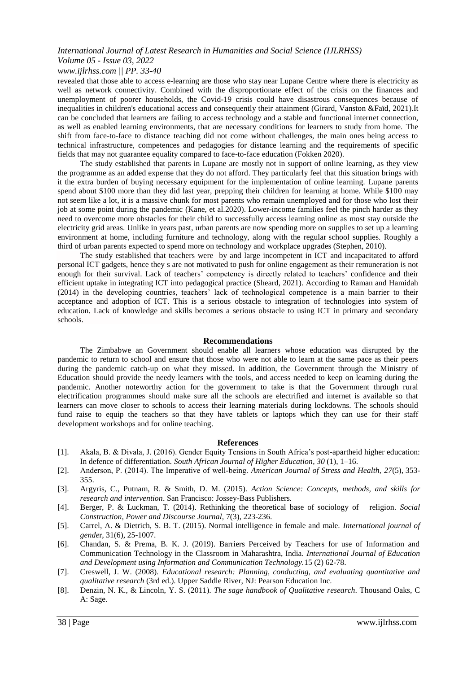### *www.ijlrhss.com || PP. 33-40*

revealed that those able to access e-learning are those who stay near Lupane Centre where there is electricity as well as network connectivity. Combined with the disproportionate effect of the crisis on the finances and unemployment of poorer households, the Covid-19 crisis could have disastrous consequences because of inequalities in children's educational access and consequently their attainment (Girard, Vanston &Faïd, 2021).It can be concluded that learners are failing to access technology and a stable and functional internet connection, as well as enabled learning environments, that are necessary conditions for learners to study from home. The shift from face-to-face to distance teaching did not come without challenges, the main ones being access to technical infrastructure, competences and pedagogies for distance learning and the requirements of specific fields that may not guarantee equality compared to face-to-face education (Fokken 2020).

The study established that parents in Lupane are mostly not in support of online learning, as they view the programme as an added expense that they do not afford. They particularly feel that this situation brings with it the extra burden of buying necessary equipment for the implementation of online learning. Lupane parents spend about \$100 more than they did last year, prepping their children for learning at home. While \$100 may not seem like a lot, it is a massive chunk for most parents who remain unemployed and for those who lost their job at some point during the pandemic (Kane, et al.2020). Lower-income families feel the pinch harder as they need to overcome more obstacles for their child to successfully access learning online as most stay outside the electricity grid areas. Unlike in years past, urban parents are now spending more on supplies to set up a learning environment at home, including furniture and technology, along with the regular school supplies. Roughly a third of urban parents expected to spend more on technology and workplace upgrades (Stephen, 2010).

The study established that teachers were by and large incompetent in ICT and incapacitated to afford personal ICT gadgets, hence they s are not motivated to push for online engagement as their remuneration is not enough for their survival. Lack of teachers' competency is directly related to teachers' confidence and their efficient uptake in integrating ICT into pedagogical practice (Sheard, 2021). According to Raman and Hamidah (2014) in the developing countries, teachers' lack of technological competence is a main barrier to their acceptance and adoption of ICT. This is a serious obstacle to integration of technologies into system of education. Lack of knowledge and skills becomes a serious obstacle to using ICT in primary and secondary schools.

### **Recommendations**

The Zimbabwe an Government should enable all learners whose education was disrupted by the pandemic to return to school and ensure that those who were not able to learn at the same pace as their peers during the pandemic catch-up on what they missed. In addition, the Government through the Ministry of Education should provide the needy learners with the tools, and access needed to keep on learning during the pandemic. Another noteworthy action for the government to take is that the Government through rural electrification programmes should make sure all the schools are electrified and internet is available so that learners can move closer to schools to access their learning materials during lockdowns. The schools should fund raise to equip the teachers so that they have tablets or laptops which they can use for their staff development workshops and for online teaching.

### **References**

- [1]. Akala, B. & Divala, J. (2016). Gender Equity Tensions in South Africa's post-apartheid higher education: In defence of differentiation. *South African Journal of Higher Education*, *30* (1), 1–16.
- [2]. Anderson, P. (2014). The Imperative of well-being. *American Journal of Stress and Health, 27(5), 353-*355.
- [3]. Argyris, C., Putnam, R. & Smith, D. M. (2015). *Action Science: Concepts, methods, and skills for research and intervention*. San Francisco: Jossey-Bass Publishers.
- [4]. Berger, P. & Luckman, T. (2014). Rethinking the theoretical base of sociology of religion. *Social Construction, Power and Discourse Journal,* 7(3), 223-236.
- [5]. Carrel, A. & Dietrich, S. B. T. (2015). Normal intelligence in female and male. *International journal of gende*r, 31(6), 25-1007.
- [6]. Chandan, S. & Prema, B. K. J. (2019). Barriers Perceived by Teachers for use of Information and Communication Technology in the Classroom in Maharashtra, India. *International Journal of Education and Development using Information and Communication Technology.*15 (2) 62-78.
- [7]. Creswell, J. W. (2008). *Educational research: Planning, conducting, and evaluating quantitative and qualitative research* (3rd ed.). Upper Saddle River, NJ: Pearson Education Inc.
- [8]. Denzin, N. K., & Lincoln, Y. S. (2011). *The sage handbook of Qualitative research*. Thousand Oaks, C A: Sage.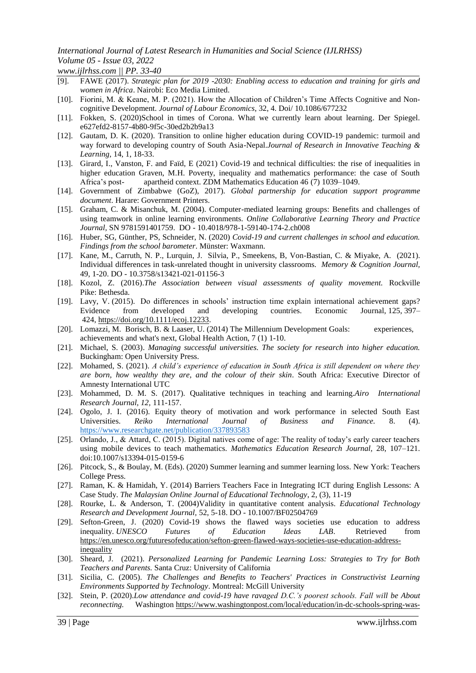*www.ijlrhss.com || PP. 33-40*

- [9]. FAWE (2017). *Strategic plan for 2019 -2030: Enabling access to education and training for girls and women in Africa*. Nairobi: Eco Media Limited.
- [10]. Fiorini, M. & Keane, M. P. (2021). How the Allocation of Children's Time Affects Cognitive and Noncognitive Development. *Journal of Labour Economics*, 32, 4. Doi/ 10.1086/677232
- [11]. Fokken, S. (2020)School in times of Corona. What we currently learn about learning. Der Spiegel. [e627efd2-8157-4b80-9f5c-30ed2b2b9a13](https://www.spiegel.de/panorama/bildung/homeschooling-was-wir-jetzt-ueber-das-lernen-lernen-a-e627efd2-8157-4b80-9f5c-30ed2b2b9a13)
- [12]. Gautam, D. K. (2020). Transition to online higher education during COVID-19 pandemic: turmoil and way forward to developing country of South Asia-Nepal.*Journal of Research in Innovative Teaching & Learning,* 14, 1, 18-33.
- [13]. Girard, I., Vanston, F. and Faïd, E (2021) Covid-19 and technical difficulties: the rise of inequalities in higher education Graven, M.H. Poverty, inequality and mathematics performance: the case of South Africa's post- apartheid context. ZDM Mathematics Education 46 (7) 1039–1049.
- [14]. Government of Zimbabwe (GoZ), 2017). *Global partnership for education support programme document*. Harare: Government Printers.
- [15]. Graham, C. & Misanchuk, M. (2004). Computer-mediated learning groups: Benefits and challenges of using teamwork in online learning environments. *Online Collaborative Learning Theory and Practice Journal,* SN 9781591401759. DO - 10.4018/978-1-59140-174-2.ch008
- [16]. Huber, SG, Günther, PS, Schneider, N. (2020) *Covid-19 and current challenges in school and education. Findings from the school barometer*. Münster: Waxmann.
- [17]. Kane, M., Carruth, N. P., Lurquin, J. Silvia, P., Smeekens, B, Von-Bastian, C. & Miyake, A. (2021). Individual differences in task-unrelated thought in university classrooms. *Memory & Cognition Journal,*  49, 1-20. DO - 10.3758/s13421-021-01156-3
- [18]. Kozol, Z. (2016).*The Association between visual assessments of quality movement.* Rockville Pike: Bethesda.
- [19]. Lavy, V. (2015). Do differences in schools' instruction time explain international achievement gaps? Evidence from developed and developing countries. Economic Journal, 125, 397– 424, [https://doi.org/10.1111/ecoj.12233.](https://doi.org/10.1111/ecoj.12233)
- [20]. Lomazzi, M. Borisch, B. & Laaser, U. (2014) The Millennium Development Goals: experiences, achievements and what's next, Global Health Action, 7 (1) 1-10.
- [21]. Michael, S. (2003). *Managing successful universities. The society for research into higher education.*  Buckingham: Open University Press.
- [22]. Mohamed, S. (2021). *A child's experience of education in South Africa is still dependent on where they are born, how wealthy they are, and the colour of their skin*. South Africa: Executive Director of Amnesty International UTC
- [23]. Mohammed, D. M. S. (2017). Qualitative techniques in teaching and learning.*Airo International Research Journal, 12,* 111-157.
- [24]. Ogolo, J. I. (2016). Equity theory of motivation and work performance in selected South East Universities. *Reiko International Journal of Business and Finance.* 8. (4). <https://www.researchgate.net/publication/337893583>
- [25]. Orlando, J., & Attard, C. (2015). Digital natives come of age: The reality of today's early career teachers using mobile devices to teach mathematics. *Mathematics Education Research Journal,* 28, 107–121. doi:10.1007/s13394-015-0159-6
- [26]. Pitcock, S., & Boulay, M. (Eds). (2020) Summer learning and summer learning loss. New York: Teachers College Press.
- [27]. Raman, K. & Hamidah, Y. (2014) Barriers Teachers Face in Integrating ICT during English Lessons: A Case Study. *The Malaysian Online Journal of Educational Technology*, 2, (3), 11-19
- [28]. Rourke, L. & Anderson, T. (2004)Validity in quantitative content analysis. *Educational Technology Research and Development Journal,* 52, 5-18. DO - 10.1007/BF02504769
- [29]. Sefton-Green, J. (2020) Covid-19 shows the flawed ways societies use education to address inequality. *UNESCO Futures of Education Ideas LAB*. Retrieved from [https://en.unesco.org/futuresofeducation/sefton-green-flawed-ways-societies-use-education-address](https://en.unesco.org/futuresofeducation/sefton-green-flawed-ways-societies-use-education-address-inequality)[inequality](https://en.unesco.org/futuresofeducation/sefton-green-flawed-ways-societies-use-education-address-inequality)
- [30]. Sheard, J. (2021). *Personalized Learning for Pandemic Learning Loss: Strategies to Try for Both Teachers and Parents.* Santa Cruz: University of California
- [31]. Sicilia, C. (2005). *The Challenges and Benefits to Teachers' Practices in Constructivist Learning Environments Supported by Technology*. Montreal: McGill University
- [32]. Stein, P. (2020).*Low attendance and covid-19 have ravaged D.C.'s poorest schools. Fall will be About reconnecting.* Washington [https://www.washingtonpost.com/local/education/in-dc-schools-spring-was-](https://www.washingtonpost.com/local/education/in-dc-schools-spring-was-ravaged-by-covid-and-disconnection-fall-will-be-about-catching-up/2020/05/10/60ad1774-8b3f-11ea-8ac1-bfb250876b7a_story.html)